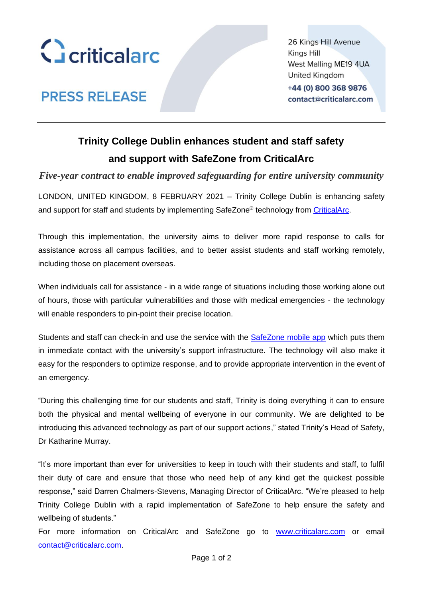

26 Kings Hill Avenue Kings Hill West Malling ME19 4UA **United Kingdom** 

+44 (0) 800 368 9876 contact@criticalarc.com

# **PRESS RELEASE**

# **Trinity College Dublin enhances student and staff safety and support with SafeZone from CriticalArc**

*Five-year contract to enable improved safeguarding for entire university community*

LONDON, UNITED KINGDOM, 8 FEBRUARY 2021 – Trinity College Dublin is enhancing safety and support for staff and students by implementing SafeZone® technology from [CriticalArc.](http://www.criticalarc.com/)

Through this implementation, the university aims to deliver more rapid response to calls for assistance across all campus facilities, and to better assist students and staff working remotely, including those on placement overseas.

When individuals call for assistance - in a wide range of situations including those working alone out of hours, those with particular vulnerabilities and those with medical emergencies - the technology will enable responders to pin-point their precise location.

Students and staff can check-in and use the service with the SafeZone [mobile app](http://www.safezoneapp.com/) which puts them in immediate contact with the university's support infrastructure. The technology will also make it easy for the responders to optimize response, and to provide appropriate intervention in the event of an emergency.

"During this challenging time for our students and staff, Trinity is doing everything it can to ensure both the physical and mental wellbeing of everyone in our community. We are delighted to be introducing this advanced technology as part of our support actions," stated Trinity's Head of Safety, Dr Katharine Murray.

"It's more important than ever for universities to keep in touch with their students and staff, to fulfil their duty of care and ensure that those who need help of any kind get the quickest possible response," said Darren Chalmers-Stevens, Managing Director of CriticalArc. "We're pleased to help Trinity College Dublin with a rapid implementation of SafeZone to help ensure the safety and wellbeing of students."

For more information on CriticalArc and SafeZone go to [www.criticalarc.com](http://www.criticalarc.com/) or email [contact@criticalarc.com.](mailto:contact@criticalarc.com)